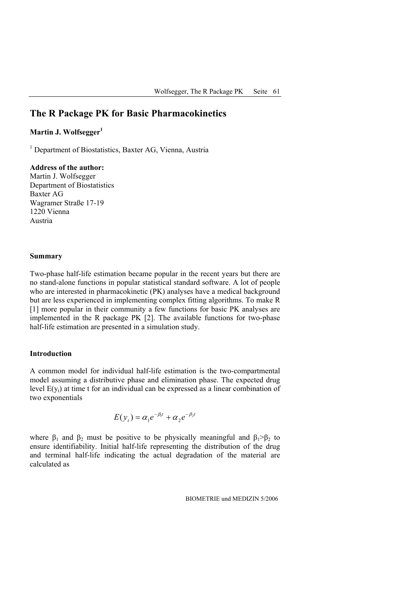# **The R Package PK for Basic Pharmacokinetics**

# **Martin J. Wolfsegger**

<sup>1</sup> Department of Biostatistics, Baxter AG, Vienna, Austria

### **Address of the author:**

Martin J. Wolfsegger Department of Biostatistics Baxter AG Wagramer Straße 17-19 1220 Vienna Austria

#### **Summary**

Two-phase half-life estimation became popular in the recent years but there are no stand-alone functions in popular statistical standard software. A lot of people who are interested in pharmacokinetic (PK) analyses have a medical background but are less experienced in implementing complex fitting algorithms. To make R [1] more popular in their community a few functions for basic PK analyses are implemented in the R package PK [2]. The available functions for two-phase half-life estimation are presented in a simulation study.

#### **Introduction**

A common model for individual half-life estimation is the two-compartmental model assuming a distributive phase and elimination phase. The expected drug level  $E(y_t)$  at time t for an individual can be expressed as a linear combination of two exponentials

$$
E(y_t) = \alpha_1 e^{-\beta_1 t} + \alpha_2 e^{-\beta_2 t}
$$

where  $\beta_1$  and  $\beta_2$  must be positive to be physically meaningful and  $\beta_1 > \beta_2$  to ensure identifiability. Initial half-life representing the distribution of the drug and terminal half-life indicating the actual degradation of the material are calculated as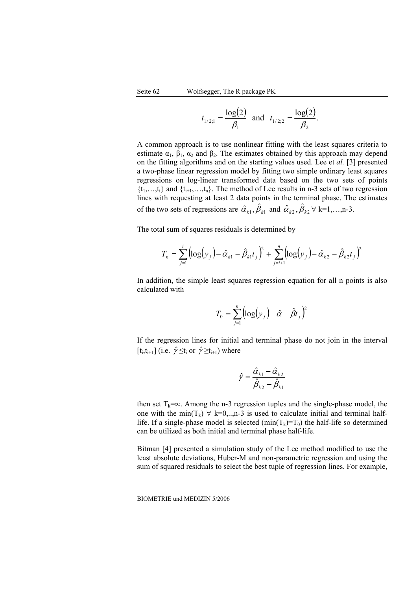$$
t_{1/2;1} = \frac{\log(2)}{\beta_1}
$$
 and  $t_{1/2;2} = \frac{\log(2)}{\beta_2}$ .

A common approach is to use nonlinear fitting with the least squares criteria to estimate  $\alpha_1$ ,  $\beta_1$ ,  $\alpha_2$  and  $\beta_2$ . The estimates obtained by this approach may depend on the fitting algorithms and on the starting values used. Lee et *al.* [3] presented a two-phase linear regression model by fitting two simple ordinary least squares regressions on log-linear transformed data based on the two sets of points  $\{t_1,...,t_i\}$  and  $\{t_{i+1},...,t_n\}$ . The method of Lee results in n-3 sets of two regression lines with requesting at least 2 data points in the terminal phase. The estimates of the two sets of regressions are  $\hat{\alpha}_{k_1}, \hat{\beta}_{k_1}$  and  $\hat{\alpha}_{k_2}, \hat{\beta}_{k_2} \forall k=1,...,n-3$ .

The total sum of squares residuals is determined by

$$
T_{k} = \sum_{j=1}^{i} (\log(y_{j}) - \hat{\alpha}_{k1} - \hat{\beta}_{k1}t_{j})^{2} + \sum_{j=i+1}^{n} (\log(y_{j}) - \hat{\alpha}_{k2} - \hat{\beta}_{k2}t_{j})^{2}
$$

In addition, the simple least squares regression equation for all n points is also calculated with

$$
T_0 = \sum_{j=1}^{n} (\log(y_j) - \hat{\alpha} - \hat{\beta}t_j)^2
$$

If the regression lines for initial and terminal phase do not join in the interval  $[t_i,t_{i+1}]$  (i.e.  $\hat{\gamma} \leq t_i$  or  $\hat{\gamma} \geq t_{i+1}$ ) where

$$
\hat{\gamma} = \frac{\hat{\alpha}_{k1} - \hat{\alpha}_{k2}}{\hat{\beta}_{k2} - \hat{\beta}_{k1}}
$$

then set  $T_k = \infty$ . Among the n-3 regression tuples and the single-phase model, the one with the min(T<sub>k</sub>)  $\forall$  k=0,...,n-3 is used to calculate initial and terminal halflife. If a single-phase model is selected  $(min(T_k)=T_0)$  the half-life so determined can be utilized as both initial and terminal phase half-life.

Bitman [4] presented a simulation study of the Lee method modified to use the least absolute deviations, Huber-M and non-parametric regression and using the sum of squared residuals to select the best tuple of regression lines. For example,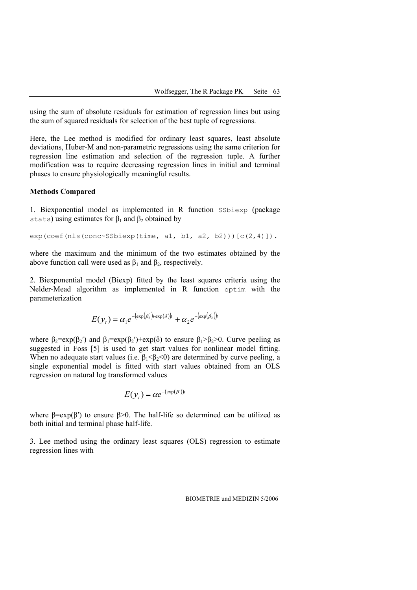using the sum of absolute residuals for estimation of regression lines but using the sum of squared residuals for selection of the best tuple of regressions.

Here, the Lee method is modified for ordinary least squares, least absolute deviations, Huber-M and non-parametric regressions using the same criterion for regression line estimation and selection of the regression tuple. A further modification was to require decreasing regression lines in initial and terminal phases to ensure physiologically meaningful results.

#### **Methods Compared**

1. Biexponential model as implemented in R function SSbiexp (package stats) using estimates for  $\beta_1$  and  $\beta_2$  obtained by

```
exp(coef(nls(cone~SSbiexp(time, al, bl, a2, b2))) [c(2,4)]).
```
where the maximum and the minimum of the two estimates obtained by the above function call were used as  $\beta_1$  and  $\beta_2$ , respectively.

2. Biexponential model (Biexp) fitted by the least squares criteria using the Nelder-Mead algorithm as implemented in R function optim with the parameterization

$$
E(yt) = \alpha_1 e^{-(\exp(\beta_2') + \exp(\delta))t} + \alpha_2 e^{-(\exp(\beta_2'))t}
$$

where  $\beta_2 = \exp(\beta_2)$  and  $\beta_1 = \exp(\beta_2') + \exp(\delta)$  to ensure  $\beta_1 > \beta_2 > 0$ . Curve peeling as suggested in Foss [5] is used to get start values for nonlinear model fitting. When no adequate start values (i.e.  $\beta_1 \leq \beta_2 \leq 0$ ) are determined by curve peeling, a single exponential model is fitted with start values obtained from an OLS regression on natural log transformed values

$$
E(\mathcal{Y}_t) = \alpha e^{-(\exp(\beta^t))t}
$$

where  $\beta = \exp(\beta')$  to ensure  $\beta > 0$ . The half-life so determined can be utilized as both initial and terminal phase half-life.

3. Lee method using the ordinary least squares (OLS) regression to estimate regression lines with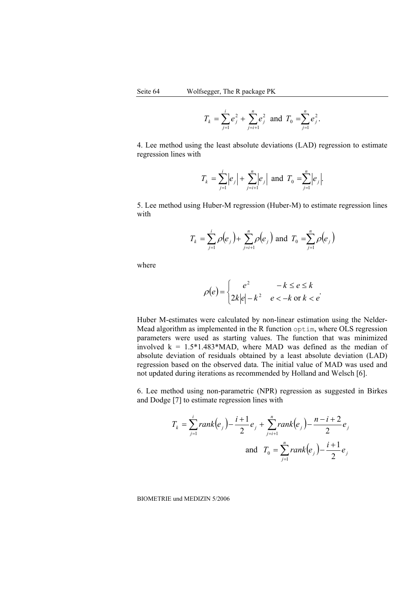$$
T_k = \sum_{j=1}^i e_j^2 + \sum_{j=i+1}^n e_j^2
$$
 and  $T_0 = \sum_{j=1}^n e_j^2$ .

4. Lee method using the least absolute deviations (LAD) regression to estimate regression lines with

$$
T_k = \sum_{j=1}^i |e_j| + \sum_{j=i+1}^n |e_j|
$$
 and  $T_0 = \sum_{j=1}^n |e_j|$ .

5. Lee method using Huber-M regression (Huber-M) to estimate regression lines with

$$
T_k = \sum_{j=1}^i \rho(e_j) + \sum_{j=i+1}^n \rho(e_j)
$$
 and  $T_0 = \sum_{j=1}^n \rho(e_j)$ 

where

$$
\rho(e) = \begin{cases} e^2 & -k \le e \le k \\ 2k|e|-k^2 & e < -k \text{ or } k < e \end{cases}
$$

Huber M-estimates were calculated by non-linear estimation using the Nelder-Mead algorithm as implemented in the R function optim, where OLS regression parameters were used as starting values. The function that was minimized involved  $k = 1.5*1.483*MAD$ , where MAD was defined as the median of absolute deviation of residuals obtained by a least absolute deviation (LAD) regression based on the observed data. The initial value of MAD was used and not updated during iterations as recommended by Holland and Welsch [6].

6. Lee method using non-parametric (NPR) regression as suggested in Birkes and Dodge [7] to estimate regression lines with

$$
T_k = \sum_{j=1}^{i} rank(e_j) - \frac{i+1}{2}e_j + \sum_{j=i+1}^{n} rank(e_j) - \frac{n-i+2}{2}e_j
$$
  
and 
$$
T_0 = \sum_{j=1}^{n} rank(e_j) - \frac{i+1}{2}e_j
$$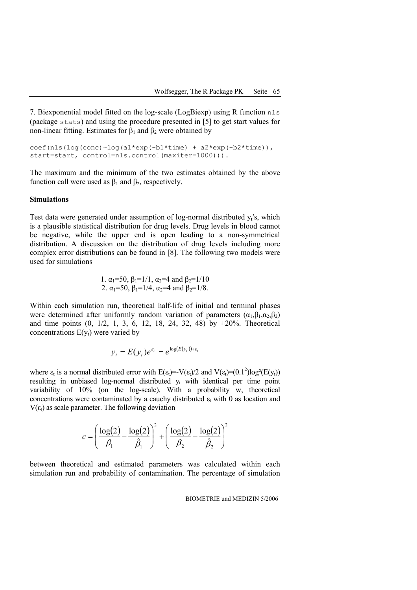7. Biexponential model fitted on the log-scale (LogBiexp) using R function nls (package stats) and using the procedure presented in [5] to get start values for non-linear fitting. Estimates for  $β_1$  and  $β_2$  were obtained by

```
\cosh(\text{nls}(\text{log}(\text{conc}) \sim \text{log}(\text{al*exp}(-\text{bl*time})) + \text{a2*exp}(\text{-b2*time})),start=start, control=nls.control(maxiter=1000))).
```
The maximum and the minimum of the two estimates obtained by the above function call were used as  $β_1$  and  $β_2$ , respectively.

#### **Simulations**

Test data were generated under assumption of  $log-normal$  distributed  $v_i$ 's, which is a plausible statistical distribution for drug levels. Drug levels in blood cannot be negative, while the upper end is open leading to a non-symmetrical distribution. A discussion on the distribution of drug levels including more complex error distributions can be found in [8]. The following two models were used for simulations

1. 
$$
\alpha_1=50
$$
,  $\beta_1=1/1$ ,  $\alpha_2=4$  and  $\beta_2=1/10$   
2.  $\alpha_1=50$ ,  $\beta_1=1/4$ ,  $\alpha_2=4$  and  $\beta_2=1/8$ .

Within each simulation run, theoretical half-life of initial and terminal phases were determined after uniformly random variation of parameters  $(\alpha_1, \beta_1, \alpha_2, \beta_2)$ and time points  $(0, 1/2, 1, 3, 6, 12, 18, 24, 32, 48)$  by  $\pm 20\%$ . Theoretical concentrations  $E(y_t)$  were varied by

$$
y_t = E(y_t)e^{\varepsilon_t} = e^{\log(E(y_t))+\varepsilon_t}
$$

where  $\varepsilon_t$  is a normal distributed error with  $E(\varepsilon_t) = -V(\varepsilon_t)/2$  and  $V(\varepsilon_t) = (0.1^2) \log^2(E(y_t))$ resulting in unbiased log-normal distributed  $y_t$  with identical per time point variability of 10% (on the log-scale). With a probability w, theoretical concentrations were contaminated by a cauchy distributed  $\varepsilon_t$  with 0 as location and  $V(\epsilon_t)$  as scale parameter. The following deviation

$$
c = \left(\frac{\log(2)}{\beta_1} - \frac{\log(2)}{\hat{\beta}_1}\right)^2 + \left(\frac{\log(2)}{\beta_2} - \frac{\log(2)}{\hat{\beta}_2}\right)^2
$$

between theoretical and estimated parameters was calculated within each simulation run and probability of contamination. The percentage of simulation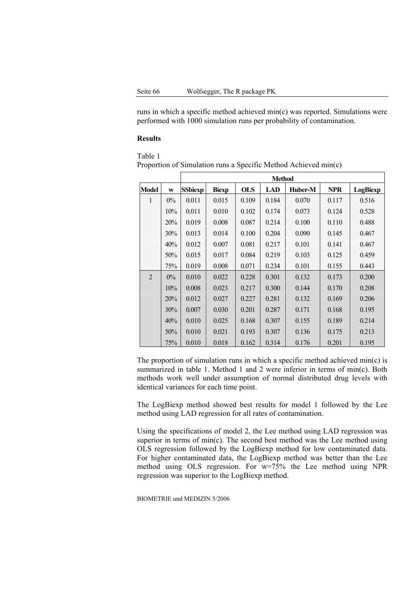runs in which a specific method achieved min(c) was reported. Simulations were performed with 1000 simulation runs per probability of contamination.

#### **Results**

Table 1 Proportion of Simulation runs a Specific Method Achieved min(c)

|                |       | <b>Method</b>  |              |            |       |         |            |          |  |  |
|----------------|-------|----------------|--------------|------------|-------|---------|------------|----------|--|--|
| <b>Model</b>   | W     | <b>SSbiexp</b> | <b>Biexp</b> | <b>OLS</b> | LAD   | Huber-M | <b>NPR</b> | LogBiexp |  |  |
| $\mathbf{1}$   | $0\%$ | 0.011          | 0.015        | 0.109      | 0.184 | 0.070   | 0.117      | 0.516    |  |  |
|                | 10%   | 0.011          | 0.010        | 0.102      | 0.174 | 0.073   | 0.124      | 0.528    |  |  |
|                | 20%   | 0.019          | 0.008        | 0.087      | 0.214 | 0.100   | 0.110      | 0.488    |  |  |
|                | 30%   | 0.013          | 0.014        | 0.100      | 0.204 | 0.090   | 0.145      | 0.467    |  |  |
|                | 40%   | 0.012          | 0.007        | 0.081      | 0.217 | 0.101   | 0.141      | 0.467    |  |  |
|                | 50%   | 0.015          | 0.017        | 0.084      | 0.219 | 0.103   | 0.125      | 0.459    |  |  |
|                | 75%   | 0.019          | 0.008        | 0.071      | 0.234 | 0.101   | 0.155      | 0.443    |  |  |
| $\overline{2}$ | $0\%$ | 0.010          | 0.022        | 0.228      | 0.301 | 0.132   | 0.173      | 0.200    |  |  |
|                | 10%   | 0.008          | 0.023        | 0.217      | 0.300 | 0.144   | 0.170      | 0.208    |  |  |
|                | 20%   | 0.012          | 0.027        | 0.227      | 0.281 | 0.132   | 0.169      | 0.206    |  |  |
|                | 30%   | 0.007          | 0.030        | 0.201      | 0.287 | 0.171   | 0.168      | 0.195    |  |  |
|                | 40%   | 0.010          | 0.025        | 0.168      | 0.307 | 0.155   | 0.189      | 0.214    |  |  |
|                | 50%   | 0.010          | 0.021        | 0.193      | 0.307 | 0.136   | 0.175      | 0.213    |  |  |
|                | 75%   | 0.010          | 0.018        | 0.162      | 0.314 | 0.176   | 0.201      | 0.195    |  |  |

The proportion of simulation runs in which a specific method achieved min(c) is summarized in table 1. Method 1 and 2 were inferior in terms of min(c). Both methods work well under assumption of normal distributed drug levels with identical variances for each time point.

The LogBiexp method showed best results for model 1 followed by the Lee method using LAD regression for all rates of contamination.

Using the specifications of model 2, the Lee method using LAD regression was superior in terms of min(c). The second best method was the Lee method using OLS regression followed by the LogBiexp method for low contaminated data. For higher contaminated data, the LogBiexp method was better than the Lee method using OLS regression. For w=75% the Lee method using NPR regression was superior to the LogBiexp method.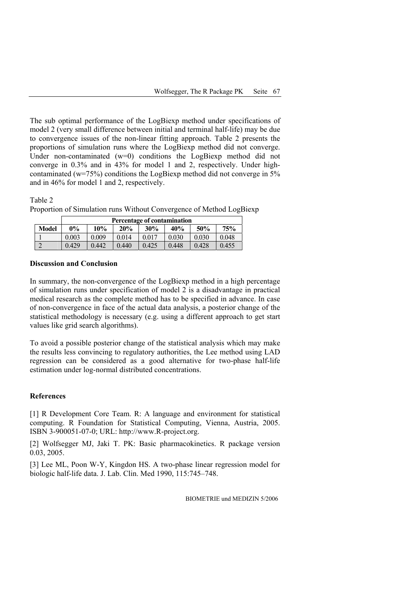The sub optimal performance of the LogBiexp method under specifications of model 2 (very small difference between initial and terminal half-life) may be due to convergence issues of the non-linear fitting approach. Table 2 presents the proportions of simulation runs where the LogBiexp method did not converge. Under non-contaminated  $(w=0)$  conditions the LogBiexp method did not converge in 0.3% and in 43% for model 1 and 2, respectively. Under highcontaminated ( $w=75\%$ ) conditions the LogBiexp method did not converge in 5% and in 46% for model 1 and 2, respectively.

Table 2

|              | Percentage of contamination |       |       |       |       |       |       |  |  |  |
|--------------|-----------------------------|-------|-------|-------|-------|-------|-------|--|--|--|
| <b>Model</b> | $0\%$                       | 10%   | 20%   | 30%   | 40%   | 50%   | 75%   |  |  |  |
|              | 0.003                       | 0.009 | 0.014 | 0.017 | 0.030 | 0.030 | 0.048 |  |  |  |

2 0.429 0.442 0.440 0.425 0.448 0.428 0.455

Proportion of Simulation runs Without Convergence of Method LogBiexp

## **Discussion and Conclusion**

In summary, the non-convergence of the LogBiexp method in a high percentage of simulation runs under specification of model 2 is a disadvantage in practical medical research as the complete method has to be specified in advance. In case of non-convergence in face of the actual data analysis, a posterior change of the statistical methodology is necessary (e.g. using a different approach to get start values like grid search algorithms).

To avoid a possible posterior change of the statistical analysis which may make the results less convincing to regulatory authorities, the Lee method using LAD regression can be considered as a good alternative for two-phase half-life estimation under log-normal distributed concentrations.

## **References**

[1] R Development Core Team. R: A language and environment for statistical computing. R Foundation for Statistical Computing, Vienna, Austria, 2005. ISBN 3-900051-07-0; URL: http://www.R-project.org.

[2] Wolfsegger MJ, Jaki T. PK: Basic pharmacokinetics. R package version 0.03, 2005.

[3] Lee ML, Poon W-Y, Kingdon HS. A two-phase linear regression model for biologic half-life data. J. Lab. Clin. Med 1990, 115:745–748.